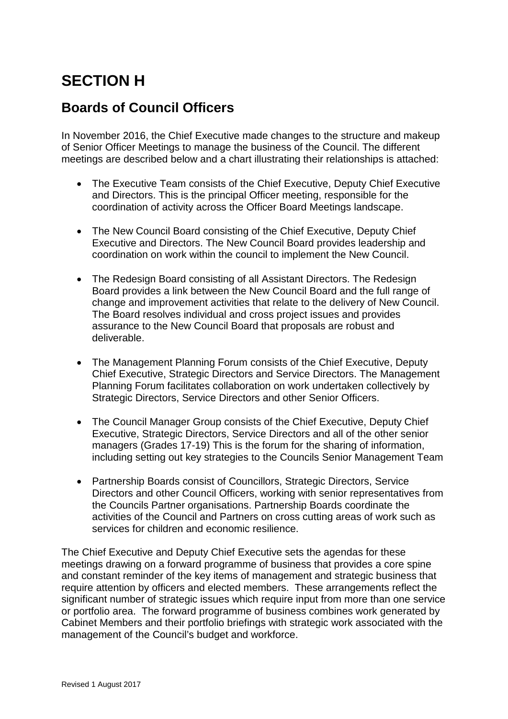## **SECTION H**

## **Boards of Council Officers**

In November 2016, the Chief Executive made changes to the structure and makeup of Senior Officer Meetings to manage the business of the Council. The different meetings are described below and a chart illustrating their relationships is attached:

- The Executive Team consists of the Chief Executive, Deputy Chief Executive and Directors. This is the principal Officer meeting, responsible for the coordination of activity across the Officer Board Meetings landscape.
- The New Council Board consisting of the Chief Executive, Deputy Chief Executive and Directors. The New Council Board provides leadership and coordination on work within the council to implement the New Council.
- The Redesign Board consisting of all Assistant Directors. The Redesign Board provides a link between the New Council Board and the full range of change and improvement activities that relate to the delivery of New Council. The Board resolves individual and cross project issues and provides assurance to the New Council Board that proposals are robust and deliverable.
- The Management Planning Forum consists of the Chief Executive, Deputy Chief Executive, Strategic Directors and Service Directors. The Management Planning Forum facilitates collaboration on work undertaken collectively by Strategic Directors, Service Directors and other Senior Officers.
- The Council Manager Group consists of the Chief Executive, Deputy Chief Executive, Strategic Directors, Service Directors and all of the other senior managers (Grades 17-19) This is the forum for the sharing of information, including setting out key strategies to the Councils Senior Management Team
- Partnership Boards consist of Councillors, Strategic Directors, Service Directors and other Council Officers, working with senior representatives from the Councils Partner organisations. Partnership Boards coordinate the activities of the Council and Partners on cross cutting areas of work such as services for children and economic resilience.

The Chief Executive and Deputy Chief Executive sets the agendas for these meetings drawing on a forward programme of business that provides a core spine and constant reminder of the key items of management and strategic business that require attention by officers and elected members. These arrangements reflect the significant number of strategic issues which require input from more than one service or portfolio area. The forward programme of business combines work generated by Cabinet Members and their portfolio briefings with strategic work associated with the management of the Council's budget and workforce.